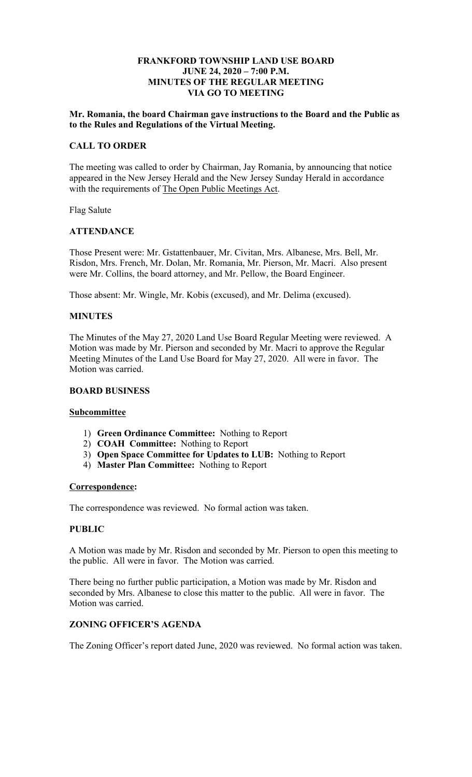### **JUNE 24, 2020 – 7:00 P.M. FRANKFORD TOWNSHIP LAND USE BOARD MINUTES OF THE REGULAR MEETING VIA GO TO MEETING**

### **Mr. Romania, the board Chairman gave instructions to the Board and the Public as to the Rules and Regulations of the Virtual Meeting.**

# **CALL TO ORDER**

with the requirements of The Open Public Meetings Act. The meeting was called to order by Chairman, Jay Romania, by announcing that notice appeared in the New Jersey Herald and the New Jersey Sunday Herald in accordance

Flag Salute

# **ATTENDANCE**

 Risdon, Mrs. French, Mr. Dolan, Mr. Romania, Mr. Pierson, Mr. Macri. Also present Those Present were: Mr. Gstattenbauer, Mr. Civitan, Mrs. Albanese, Mrs. Bell, Mr. were Mr. Collins, the board attorney, and Mr. Pellow, the Board Engineer.

Those absent: Mr. Wingle, Mr. Kobis (excused), and Mr. Delima (excused).

# **MINUTES**

The Minutes of the May 27, 2020 Land Use Board Regular Meeting were reviewed. A Motion was made by Mr. Pierson and seconded by Mr. Macri to approve the Regular Meeting Minutes of the Land Use Board for May 27, 2020. All were in favor. The Motion was carried.

#### **BOARD BUSINESS**

# **Subcommittee**

- 1) **Green Ordinance Committee:** Nothing to Report
- 2) **COAH Committee:** Nothing to Report
- 3) **Open Space Committee for Updates to LUB:** Nothing to Report
- 4) **Master Plan Committee:** Nothing to Report

#### **Correspondence:**

The correspondence was reviewed. No formal action was taken.

# **PUBLIC**

A Motion was made by Mr. Risdon and seconded by Mr. Pierson to open this meeting to the public. All were in favor. The Motion was carried.

There being no further public participation, a Motion was made by Mr. Risdon and seconded by Mrs. Albanese to close this matter to the public. All were in favor. The Motion was carried.

# **ZONING OFFICER'S AGENDA**

The Zoning Officer's report dated June, 2020 was reviewed. No formal action was taken.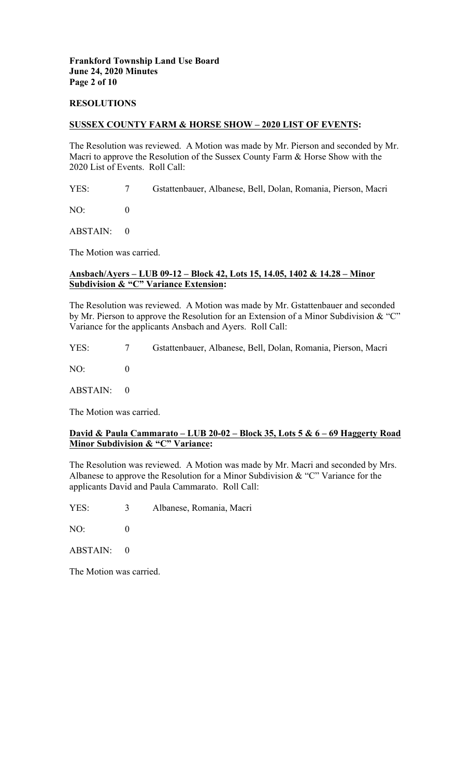### **RESOLUTIONS**

### **SUSSEX COUNTY FARM & HORSE SHOW – 2020 LIST OF EVENTS:**

 Macri to approve the Resolution of the Sussex County Farm & Horse Show with the 2020 List of Events. Roll Call: The Resolution was reviewed. A Motion was made by Mr. Pierson and seconded by Mr.

YES: 7 Gstattenbauer, Albanese, Bell, Dolan, Romania, Pierson, Macri

NO: 0

ABSTAIN: 0

The Motion was carried.

# **Ansbach/Ayers – LUB 09-12 – Block 42, Lots 15, 14.05, 1402 & 14.28 – Minor Subdivision & "C" Variance Extension:**

The Resolution was reviewed. A Motion was made by Mr. Gstattenbauer and seconded by Mr. Pierson to approve the Resolution for an Extension of a Minor Subdivision & "C" Variance for the applicants Ansbach and Ayers. Roll Call:

YES: 7 Gstattenbauer, Albanese, Bell, Dolan, Romania, Pierson, Macri

NO: 0

ABSTAIN: 0

The Motion was carried.

# **David & Paula Cammarato – LUB 20-02 – Block 35, Lots 5 & 6 – 69 Haggerty Road Minor Subdivision & "C" Variance:**

 applicants David and Paula Cammarato. Roll Call: The Resolution was reviewed. A Motion was made by Mr. Macri and seconded by Mrs. Albanese to approve the Resolution for a Minor Subdivision & "C" Variance for the

YES: 3 Albanese, Romania, Macri

NO: 0

ABSTAIN: 0

The Motion was carried.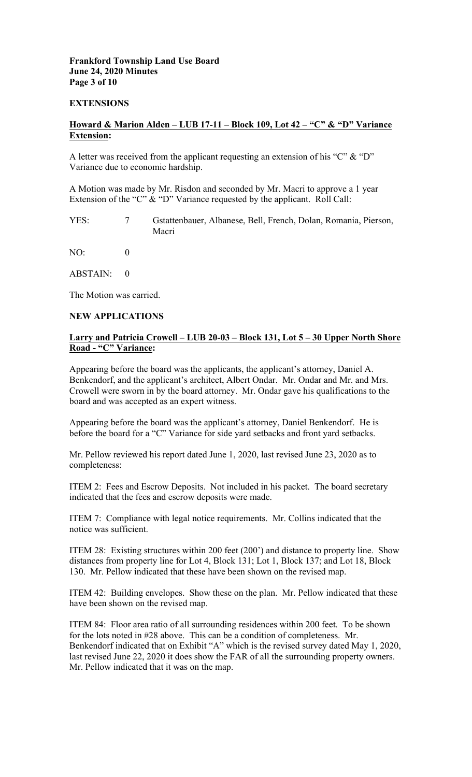# **Frankford Township Land Use Board June 24, 2020 Minutes Page 3 of 10**

#### **EXTENSIONS**

## **Howard & Marion Alden – LUB 17-11 – Block 109, Lot 42 – "C" & "D" Variance Extension:**

A letter was received from the applicant requesting an extension of his "C" & "D" Variance due to economic hardship.

Extension of the "C" & "D" Variance requested by the applicant. Roll Call: A Motion was made by Mr. Risdon and seconded by Mr. Macri to approve a 1 year

YES: 7 Gstattenbauer, Albanese, Bell, French, Dolan, Romania, Pierson, Macri

NO: 0

ABSTAIN: 0

The Motion was carried.

### **NEW APPLICATIONS**

# **Larry and Patricia Crowell – LUB 20-03 – Block 131, Lot 5 – 30 Upper North Shore Road - "C" Variance:**

 Crowell were sworn in by the board attorney. Mr. Ondar gave his qualifications to the Appearing before the board was the applicants, the applicant's attorney, Daniel A. Benkendorf, and the applicant's architect, Albert Ondar. Mr. Ondar and Mr. and Mrs. board and was accepted as an expert witness.

Appearing before the board was the applicant's attorney, Daniel Benkendorf. He is before the board for a "C" Variance for side yard setbacks and front yard setbacks.

Mr. Pellow reviewed his report dated June 1, 2020, last revised June 23, 2020 as to completeness:

ITEM 2: Fees and Escrow Deposits. Not included in his packet. The board secretary indicated that the fees and escrow deposits were made.

ITEM 7: Compliance with legal notice requirements. Mr. Collins indicated that the notice was sufficient.

ITEM 28: Existing structures within 200 feet (200') and distance to property line. Show distances from property line for Lot 4, Block 131; Lot 1, Block 137; and Lot 18, Block 130. Mr. Pellow indicated that these have been shown on the revised map.

ITEM 42: Building envelopes. Show these on the plan. Mr. Pellow indicated that these have been shown on the revised map.

 for the lots noted in #28 above. This can be a condition of completeness. Mr. ITEM 84: Floor area ratio of all surrounding residences within 200 feet. To be shown Benkendorf indicated that on Exhibit "A" which is the revised survey dated May 1, 2020, last revised June 22, 2020 it does show the FAR of all the surrounding property owners. Mr. Pellow indicated that it was on the map.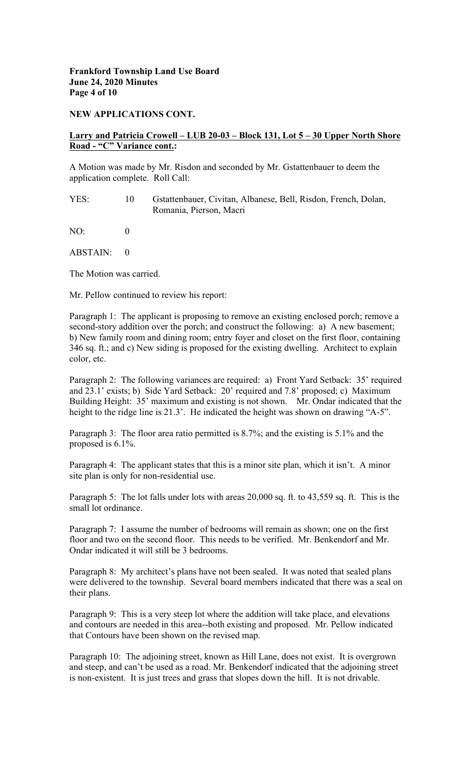### **NEW APPLICATIONS CONT.**

## **Larry and Patricia Crowell – LUB 20-03 – Block 131, Lot 5 – 30 Upper North Shore Road - "C" Variance cont.:**

A Motion was made by Mr. Risdon and seconded by Mr. Gstattenbauer to deem the application complete. Roll Call:

YES: 10 Gstattenbauer, Civitan, Albanese, Bell, Risdon, French, Dolan, Romania, Pierson, Macri

NO: 0

ABSTAIN: 0

The Motion was carried.

Mr. Pellow continued to review his report:

Paragraph 1: The applicant is proposing to remove an existing enclosed porch; remove a second-story addition over the porch; and construct the following: a) A new basement; b) New family room and dining room; entry foyer and closet on the first floor, containing 346 sq. ft.; and c) New siding is proposed for the existing dwelling. Architect to explain color, etc.

 height to the ridge line is 21.3'. He indicated the height was shown on drawing "A-5". Building Height: 35' maximum and existing is not shown. Mr. Ondar indicated that the Paragraph 2: The following variances are required: a) Front Yard Setback: 35' required and 23.1' exists; b) Side Yard Setback: 20' required and 7.8' proposed; c) Maximum

Paragraph 3: The floor area ratio permitted is 8.7%; and the existing is 5.1% and the proposed is 6.1%.

Paragraph 4: The applicant states that this is a minor site plan, which it isn't. A minor site plan is only for non-residential use.

Paragraph 5: The lot falls under lots with areas 20,000 sq. ft. to 43,559 sq. ft. This is the small lot ordinance.

Paragraph 7: I assume the number of bedrooms will remain as shown; one on the first floor and two on the second floor. This needs to be verified. Mr. Benkendorf and Mr. Ondar indicated it will still be 3 bedrooms.

Paragraph 8: My architect's plans have not been sealed. It was noted that sealed plans were delivered to the township. Several board members indicated that there was a seal on their plans.

Paragraph 9: This is a very steep lot where the addition will take place, and elevations and contours are needed in this area--both existing and proposed. Mr. Pellow indicated that Contours have been shown on the revised map.

Paragraph 10: The adjoining street, known as Hill Lane, does not exist. It is overgrown and steep, and can't be used as a road. Mr. Benkendorf indicated that the adjoining street is non-existent. It is just trees and grass that slopes down the hill. It is not drivable.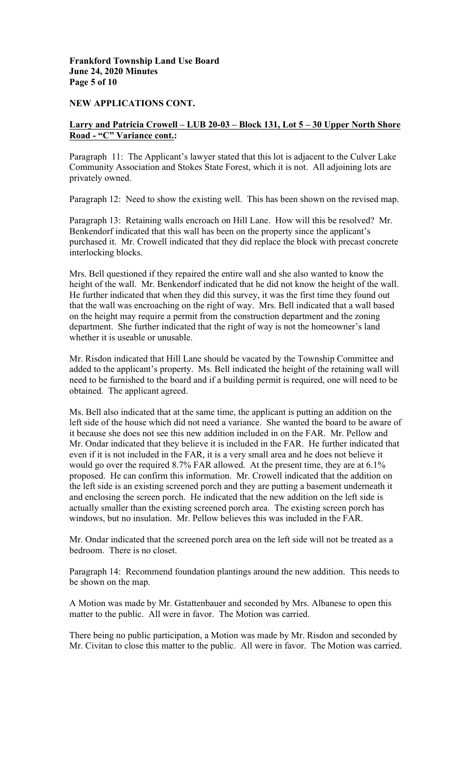# **Frankford Township Land Use Board June 24, 2020 Minutes Page 5 of 10**

### **NEW APPLICATIONS CONT.**

# **Larry and Patricia Crowell – LUB 20-03 – Block 131, Lot 5 – 30 Upper North Shore Road - "C" Variance cont.:**

 Paragraph 11: The Applicant's lawyer stated that this lot is adjacent to the Culver Lake Community Association and Stokes State Forest, which it is not. All adjoining lots are privately owned.

Paragraph 12: Need to show the existing well. This has been shown on the revised map.

 Paragraph 13: Retaining walls encroach on Hill Lane. How will this be resolved? Mr. Benkendorf indicated that this wall has been on the property since the applicant's purchased it. Mr. Crowell indicated that they did replace the block with precast concrete interlocking blocks.

Mrs. Bell questioned if they repaired the entire wall and she also wanted to know the height of the wall. Mr. Benkendorf indicated that he did not know the height of the wall. He further indicated that when they did this survey, it was the first time they found out that the wall was encroaching on the right of way. Mrs. Bell indicated that a wall based on the height may require a permit from the construction department and the zoning department. She further indicated that the right of way is not the homeowner's land whether it is useable or unusable.

 added to the applicant's property. Ms. Bell indicated the height of the retaining wall will need to be furnished to the board and if a building permit is required, one will need to be obtained. The applicant agreed. Mr. Risdon indicated that Hill Lane should be vacated by the Township Committee and

 Mr. Ondar indicated that they believe it is included in the FAR. He further indicated that Ms. Bell also indicated that at the same time, the applicant is putting an addition on the left side of the house which did not need a variance. She wanted the board to be aware of it because she does not see this new addition included in on the FAR. Mr. Pellow and even if it is not included in the FAR, it is a very small area and he does not believe it would go over the required 8.7% FAR allowed. At the present time, they are at 6.1% proposed. He can confirm this information. Mr. Crowell indicated that the addition on the left side is an existing screened porch and they are putting a basement underneath it and enclosing the screen porch. He indicated that the new addition on the left side is actually smaller than the existing screened porch area. The existing screen porch has windows, but no insulation. Mr. Pellow believes this was included in the FAR.

Mr. Ondar indicated that the screened porch area on the left side will not be treated as a bedroom. There is no closet.

Paragraph 14: Recommend foundation plantings around the new addition. This needs to be shown on the map.

A Motion was made by Mr. Gstattenbauer and seconded by Mrs. Albanese to open this matter to the public. All were in favor. The Motion was carried.

There being no public participation, a Motion was made by Mr. Risdon and seconded by Mr. Civitan to close this matter to the public. All were in favor. The Motion was carried.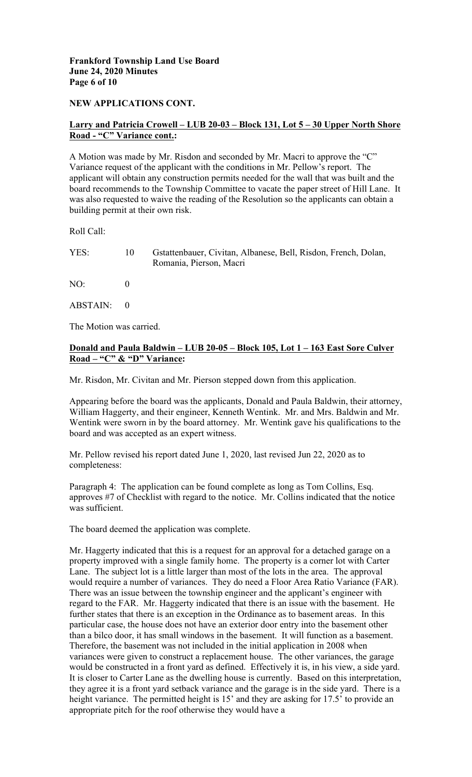# **Frankford Township Land Use Board June 24, 2020 Minutes Page 6 of 10**

### **NEW APPLICATIONS CONT.**

# **Larry and Patricia Crowell – LUB 20-03 – Block 131, Lot 5 – 30 Upper North Shore Road - "C" Variance cont.:**

 Variance request of the applicant with the conditions in Mr. Pellow's report. The A Motion was made by Mr. Risdon and seconded by Mr. Macri to approve the "C" applicant will obtain any construction permits needed for the wall that was built and the board recommends to the Township Committee to vacate the paper street of Hill Lane. It was also requested to waive the reading of the Resolution so the applicants can obtain a building permit at their own risk.

Roll Call:

| YES:         | $10^{\circ}$ | Gstattenbauer, Civitan, Albanese, Bell, Risdon, French, Dolan,<br>Romania, Pierson, Macri |
|--------------|--------------|-------------------------------------------------------------------------------------------|
| $NO^{\cdot}$ |              |                                                                                           |
| ABSTAIN: 0   |              |                                                                                           |

The Motion was carried.

# **Donald and Paula Baldwin – LUB 20-05 – Block 105, Lot 1 – 163 East Sore Culver Road – "C" & "D" Variance:**

Mr. Risdon, Mr. Civitan and Mr. Pierson stepped down from this application.

Appearing before the board was the applicants, Donald and Paula Baldwin, their attorney, William Haggerty, and their engineer, Kenneth Wentink. Mr. and Mrs. Baldwin and Mr. Wentink were sworn in by the board attorney. Mr. Wentink gave his qualifications to the board and was accepted as an expert witness.

Mr. Pellow revised his report dated June 1, 2020, last revised Jun 22, 2020 as to completeness:

Paragraph 4: The application can be found complete as long as Tom Collins, Esq. approves #7 of Checklist with regard to the notice. Mr. Collins indicated that the notice was sufficient.

The board deemed the application was complete.

 appropriate pitch for the roof otherwise they would have a Mr. Haggerty indicated that this is a request for an approval for a detached garage on a property improved with a single family home. The property is a corner lot with Carter Lane. The subject lot is a little larger than most of the lots in the area. The approval would require a number of variances. They do need a Floor Area Ratio Variance (FAR). There was an issue between the township engineer and the applicant's engineer with regard to the FAR. Mr. Haggerty indicated that there is an issue with the basement. He further states that there is an exception in the Ordinance as to basement areas. In this particular case, the house does not have an exterior door entry into the basement other than a bilco door, it has small windows in the basement. It will function as a basement. Therefore, the basement was not included in the initial application in 2008 when variances were given to construct a replacement house. The other variances, the garage would be constructed in a front yard as defined. Effectively it is, in his view, a side yard. It is closer to Carter Lane as the dwelling house is currently. Based on this interpretation, they agree it is a front yard setback variance and the garage is in the side yard. There is a height variance. The permitted height is 15<sup>'</sup> and they are asking for 17.5' to provide an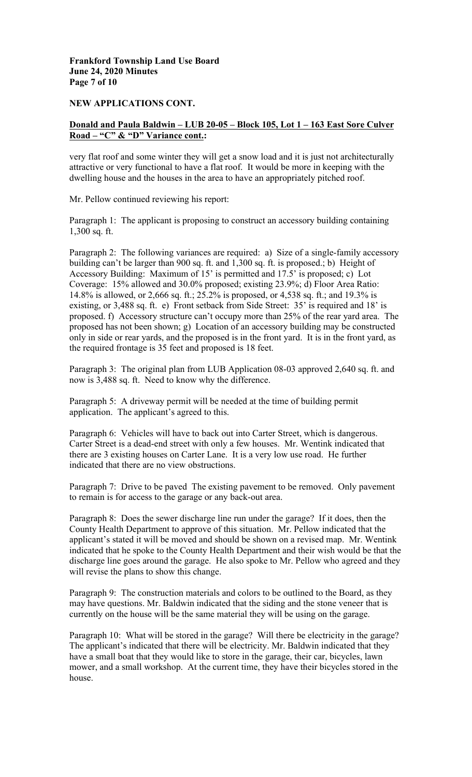# **Page 7 of 10 Frankford Township Land Use Board June 24, 2020 Minutes**

### **NEW APPLICATIONS CONT.**

# **Donald and Paula Baldwin – LUB 20-05 – Block 105, Lot 1 – 163 East Sore Culver Road – "C" & "D" Variance cont.:**

very flat roof and some winter they will get a snow load and it is just not architecturally attractive or very functional to have a flat roof. It would be more in keeping with the dwelling house and the houses in the area to have an appropriately pitched roof.

Mr. Pellow continued reviewing his report:

Paragraph 1: The applicant is proposing to construct an accessory building containing 1,300 sq. ft.

Coverage: 15% allowed and 30.0% proposed; existing 23.9%; d) Floor Area Ratio: Paragraph 2: The following variances are required: a) Size of a single-family accessory building can't be larger than 900 sq. ft. and 1,300 sq. ft. is proposed.; b) Height of Accessory Building: Maximum of 15' is permitted and 17.5' is proposed; c) Lot 14.8% is allowed, or 2,666 sq. ft.; 25.2% is proposed, or 4,538 sq. ft.; and 19.3% is existing, or 3,488 sq. ft. e) Front setback from Side Street: 35' is required and 18' is proposed. f) Accessory structure can't occupy more than 25% of the rear yard area. The proposed has not been shown; g) Location of an accessory building may be constructed only in side or rear yards, and the proposed is in the front yard. It is in the front yard, as the required frontage is 35 feet and proposed is 18 feet.

Paragraph 3: The original plan from LUB Application 08-03 approved 2,640 sq. ft. and now is 3,488 sq. ft. Need to know why the difference.

Paragraph 5: A driveway permit will be needed at the time of building permit application. The applicant's agreed to this.

 Carter Street is a dead-end street with only a few houses. Mr. Wentink indicated that Paragraph 6: Vehicles will have to back out into Carter Street, which is dangerous. there are 3 existing houses on Carter Lane. It is a very low use road. He further indicated that there are no view obstructions.

Paragraph 7: Drive to be paved The existing pavement to be removed. Only pavement to remain is for access to the garage or any back-out area.

 applicant's stated it will be moved and should be shown on a revised map. Mr. Wentink discharge line goes around the garage. He also spoke to Mr. Pellow who agreed and they Paragraph 8: Does the sewer discharge line run under the garage? If it does, then the County Health Department to approve of this situation. Mr. Pellow indicated that the indicated that he spoke to the County Health Department and their wish would be that the will revise the plans to show this change.

Paragraph 9: The construction materials and colors to be outlined to the Board, as they may have questions. Mr. Baldwin indicated that the siding and the stone veneer that is currently on the house will be the same material they will be using on the garage.

Paragraph 10: What will be stored in the garage? Will there be electricity in the garage? The applicant's indicated that there will be electricity. Mr. Baldwin indicated that they have a small boat that they would like to store in the garage, their car, bicycles, lawn mower, and a small workshop. At the current time, they have their bicycles stored in the house.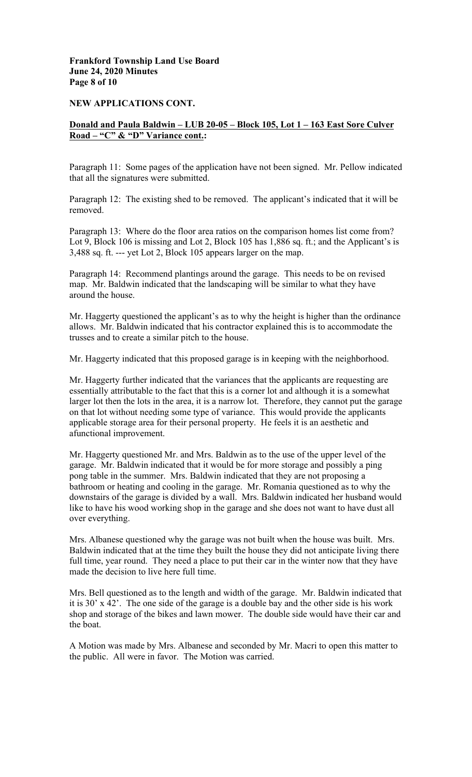## **Frankford Township Land Use Board June 24, 2020 Minutes Page 8 of 10**

#### **NEW APPLICATIONS CONT.**

# **Donald and Paula Baldwin – LUB 20-05 – Block 105, Lot 1 – 163 East Sore Culver Road – "C" & "D" Variance cont.:**

Paragraph 11: Some pages of the application have not been signed. Mr. Pellow indicated that all the signatures were submitted.

Paragraph 12: The existing shed to be removed. The applicant's indicated that it will be removed.

Paragraph 13: Where do the floor area ratios on the comparison homes list come from? Lot 9, Block 106 is missing and Lot 2, Block 105 has 1,886 sq. ft.; and the Applicant's is 3,488 sq. ft. --- yet Lot 2, Block 105 appears larger on the map.

 map. Mr. Baldwin indicated that the landscaping will be similar to what they have Paragraph 14: Recommend plantings around the garage. This needs to be on revised around the house.

Mr. Haggerty questioned the applicant's as to why the height is higher than the ordinance allows. Mr. Baldwin indicated that his contractor explained this is to accommodate the trusses and to create a similar pitch to the house.

Mr. Haggerty indicated that this proposed garage is in keeping with the neighborhood.

 Mr. Haggerty further indicated that the variances that the applicants are requesting are essentially attributable to the fact that this is a corner lot and although it is a somewhat larger lot then the lots in the area, it is a narrow lot. Therefore, they cannot put the garage on that lot without needing some type of variance. This would provide the applicants applicable storage area for their personal property. He feels it is an aesthetic and afunctional improvement.

Mr. Haggerty questioned Mr. and Mrs. Baldwin as to the use of the upper level of the garage. Mr. Baldwin indicated that it would be for more storage and possibly a ping pong table in the summer. Mrs. Baldwin indicated that they are not proposing a bathroom or heating and cooling in the garage. Mr. Romania questioned as to why the downstairs of the garage is divided by a wall. Mrs. Baldwin indicated her husband would like to have his wood working shop in the garage and she does not want to have dust all over everything.

Mrs. Albanese questioned why the garage was not built when the house was built. Mrs. Baldwin indicated that at the time they built the house they did not anticipate living there full time, year round. They need a place to put their car in the winter now that they have made the decision to live here full time.

Mrs. Bell questioned as to the length and width of the garage. Mr. Baldwin indicated that it is 30' x 42'. The one side of the garage is a double bay and the other side is his work shop and storage of the bikes and lawn mower. The double side would have their car and the boat.

A Motion was made by Mrs. Albanese and seconded by Mr. Macri to open this matter to the public. All were in favor. The Motion was carried.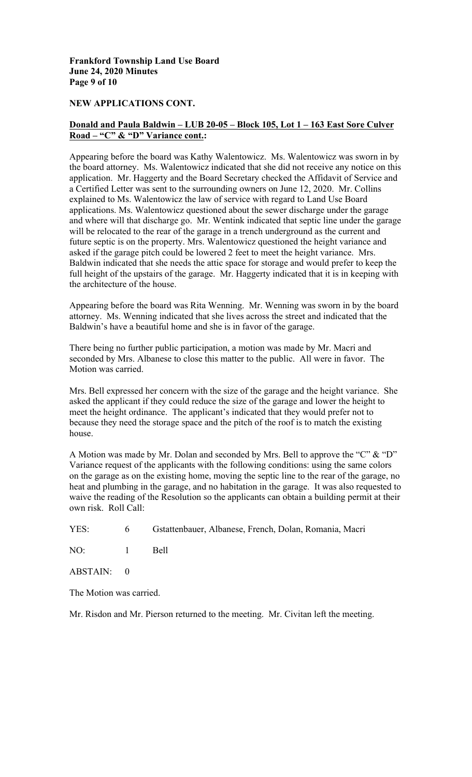**Frankford Township Land Use Board June 24, 2020 Minutes Page 9 of 10** 

### **NEW APPLICATIONS CONT.**

# **Donald and Paula Baldwin – LUB 20-05 – Block 105, Lot 1 – 163 East Sore Culver Road – "C" & "D" Variance cont.:**

Appearing before the board was Kathy Walentowicz. Ms. Walentowicz was sworn in by the board attorney. Ms. Walentowicz indicated that she did not receive any notice on this application. Mr. Haggerty and the Board Secretary checked the Affidavit of Service and a Certified Letter was sent to the surrounding owners on June 12, 2020. Mr. Collins explained to Ms. Walentowicz the law of service with regard to Land Use Board applications. Ms. Walentowicz questioned about the sewer discharge under the garage and where will that discharge go. Mr. Wentink indicated that septic line under the garage will be relocated to the rear of the garage in a trench underground as the current and future septic is on the property. Mrs. Walentowicz questioned the height variance and asked if the garage pitch could be lowered 2 feet to meet the height variance. Mrs. Baldwin indicated that she needs the attic space for storage and would prefer to keep the full height of the upstairs of the garage. Mr. Haggerty indicated that it is in keeping with the architecture of the house.

Appearing before the board was Rita Wenning. Mr. Wenning was sworn in by the board attorney. Ms. Wenning indicated that she lives across the street and indicated that the Baldwin's have a beautiful home and she is in favor of the garage.

There being no further public participation, a motion was made by Mr. Macri and seconded by Mrs. Albanese to close this matter to the public. All were in favor. The Motion was carried.

Mrs. Bell expressed her concern with the size of the garage and the height variance. She asked the applicant if they could reduce the size of the garage and lower the height to meet the height ordinance. The applicant's indicated that they would prefer not to because they need the storage space and the pitch of the roof is to match the existing house.

A Motion was made by Mr. Dolan and seconded by Mrs. Bell to approve the "C" & "D" Variance request of the applicants with the following conditions: using the same colors on the garage as on the existing home, moving the septic line to the rear of the garage, no heat and plumbing in the garage, and no habitation in the garage. It was also requested to waive the reading of the Resolution so the applicants can obtain a building permit at their own risk. Roll Call:

YES: 6 Gstattenbauer, Albanese, French, Dolan, Romania, Macri

NO: 1 Bell

ABSTAIN: 0

The Motion was carried.

Mr. Risdon and Mr. Pierson returned to the meeting. Mr. Civitan left the meeting.